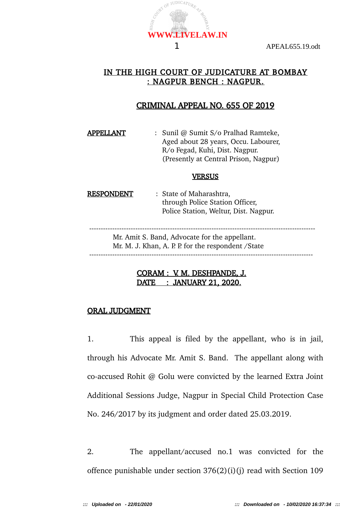### IN THE HIGH COURT OF JUDICATURE AT BOMBAY : NAGPUR BENCH : NAGPUR.

### CRIMINAL APPEAL NO. 655 OF 2019

APPELLANT : Sunil @ Sumit S/o Pralhad Ramteke, Aged about 28 years, Occu. Labourer, R/o Fegad, Kuhi, Dist. Nagpur. (Presently at Central Prison, Nagpur)

#### **VERSUS**

RESPONDENT : State of Maharashtra, through Police Station Officer, Police Station, Weltur, Dist. Nagpur.

 -------------------------------------------------------------------------------------------------- Mr. Amit S. Band, Advocate for the appellant. Mr. M. J. Khan, A. P. P. for the respondent / State -------------------------------------------------------------------------------------------------

### CORAM : V. M. DESHPANDE, J. DATE : JANUARY 21, 2020.

### ORAL JUDGMENT

1. This appeal is filed by the appellant, who is in jail, through his Advocate Mr. Amit S. Band. The appellant along with co-accused Rohit @ Golu were convicted by the learned Extra Joint Additional Sessions Judge, Nagpur in Special Child Protection Case No. 246/2017 by its judgment and order dated 25.03.2019.

2. The appellant/accused no.1 was convicted for the offence punishable under section 376(2)(i)(j) read with Section 109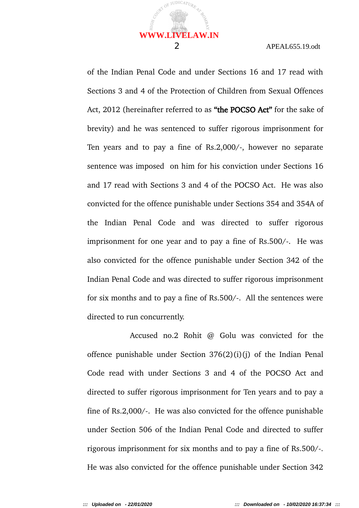#### 2 APEAL655.19.odt

of the Indian Penal Code and under Sections 16 and 17 read with Sections 3 and 4 of the Protection of Children from Sexual Offences Act, 2012 (hereinafter referred to as "the POCSO Act" for the sake of brevity) and he was sentenced to suffer rigorous imprisonment for Ten years and to pay a fine of Rs.2,000/-, however no separate sentence was imposed on him for his conviction under Sections 16 and 17 read with Sections 3 and 4 of the POCSO Act. He was also convicted for the offence punishable under Sections 354 and 354A of the Indian Penal Code and was directed to suffer rigorous imprisonment for one year and to pay a fine of Rs.500/-. He was also convicted for the offence punishable under Section 342 of the Indian Penal Code and was directed to suffer rigorous imprisonment for six months and to pay a fine of Rs.500/-. All the sentences were directed to run concurrently.

Accused no.2 Rohit @ Golu was convicted for the offence punishable under Section 376(2)(i)(j) of the Indian Penal Code read with under Sections 3 and 4 of the POCSO Act and directed to suffer rigorous imprisonment for Ten years and to pay a fine of Rs.2,000/-. He was also convicted for the offence punishable under Section 506 of the Indian Penal Code and directed to suffer rigorous imprisonment for six months and to pay a fine of Rs.500/-. He was also convicted for the offence punishable under Section 342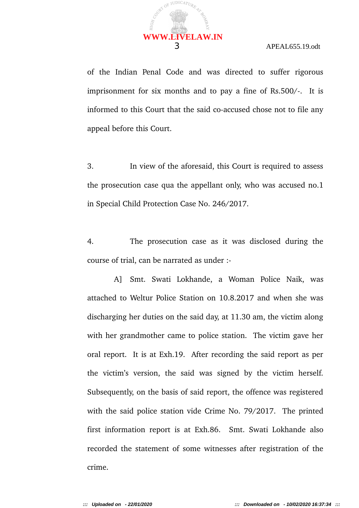of the Indian Penal Code and was directed to suffer rigorous imprisonment for six months and to pay a fine of Rs.500/-. It is informed to this Court that the said co-accused chose not to file any appeal before this Court.

3. In view of the aforesaid, this Court is required to assess the prosecution case qua the appellant only, who was accused no.1 in Special Child Protection Case No. 246/2017.

4. The prosecution case as it was disclosed during the course of trial, can be narrated as under :-

A] Smt. Swati Lokhande, a Woman Police Naik, was attached to Weltur Police Station on 10.8.2017 and when she was discharging her duties on the said day, at 11.30 am, the victim along with her grandmother came to police station. The victim gave her oral report. It is at Exh.19. After recording the said report as per the victim's version, the said was signed by the victim herself. Subsequently, on the basis of said report, the offence was registered with the said police station vide Crime No. 79/2017. The printed first information report is at Exh.86. Smt. Swati Lokhande also recorded the statement of some witnesses after registration of the crime.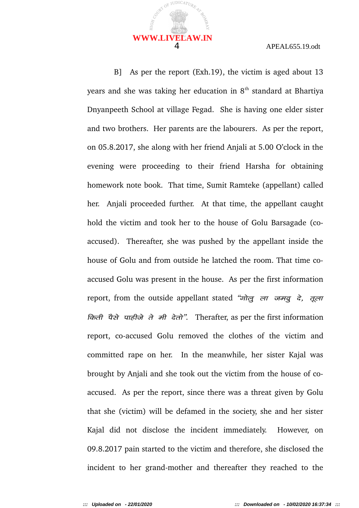

B] As per the report (Exh.19), the victim is aged about 13 years and she was taking her education in  $8<sup>th</sup>$  standard at Bhartiya Dnyanpeeth School at village Fegad. She is having one elder sister and two brothers. Her parents are the labourers. As per the report, on 05.8.2017, she along with her friend Anjali at 5.00 O'clock in the evening were proceeding to their friend Harsha for obtaining homework note book. That time, Sumit Ramteke (appellant) called her. Anjali proceeded further. At that time, the appellant caught hold the victim and took her to the house of Golu Barsagade (coaccused). Thereafter, she was pushed by the appellant inside the house of Golu and from outside he latched the room. That time coaccused Golu was present in the house. As per the first information report, from the outside appellant stated " $\vec{v}$   $\vec{r}$   $\vec{r}$   $\vec{r}$  are  $\vec{r}$  are regional regional random  $\vec{r}$ ,  $\vec{r}$  are regional regional regional regional regional regional regional regional regional reg  $\vec{p}$  and  $\vec{q}$  is  $\vec{r}$  and  $\vec{r}$  and  $\vec{r}$ . Therafter, as per the first information report, co-accused Golu removed the clothes of the victim and committed rape on her. In the meanwhile, her sister Kajal was brought by Anjali and she took out the victim from the house of coaccused. As per the report, since there was a threat given by Golu that she (victim) will be defamed in the society, she and her sister Kajal did not disclose the incident immediately. However, on 09.8.2017 pain started to the victim and therefore, she disclosed the incident to her grand-mother and thereafter they reached to the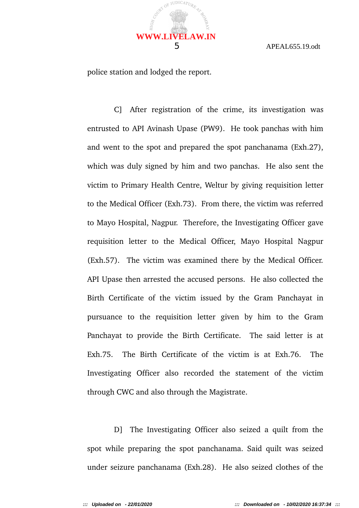

police station and lodged the report.

C] After registration of the crime, its investigation was entrusted to API Avinash Upase (PW9). He took panchas with him and went to the spot and prepared the spot panchanama (Exh.27), which was duly signed by him and two panchas. He also sent the victim to Primary Health Centre, Weltur by giving requisition letter to the Medical Officer (Exh.73). From there, the victim was referred to Mayo Hospital, Nagpur. Therefore, the Investigating Officer gave requisition letter to the Medical Officer, Mayo Hospital Nagpur (Exh.57). The victim was examined there by the Medical Officer. API Upase then arrested the accused persons. He also collected the Birth Certificate of the victim issued by the Gram Panchayat in pursuance to the requisition letter given by him to the Gram Panchayat to provide the Birth Certificate. The said letter is at Exh.75. The Birth Certificate of the victim is at Exh.76. The Investigating Officer also recorded the statement of the victim through CWC and also through the Magistrate.

D] The Investigating Officer also seized a quilt from the spot while preparing the spot panchanama. Said quilt was seized under seizure panchanama (Exh.28). He also seized clothes of the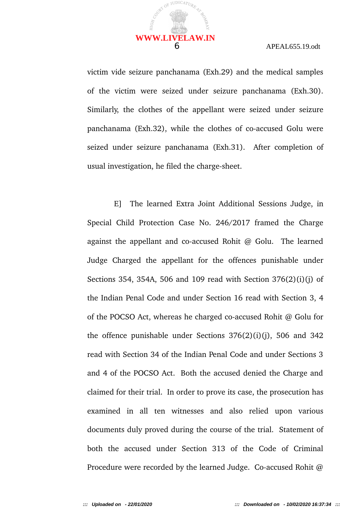

victim vide seizure panchanama (Exh.29) and the medical samples of the victim were seized under seizure panchanama (Exh.30). Similarly, the clothes of the appellant were seized under seizure panchanama (Exh.32), while the clothes of co-accused Golu were seized under seizure panchanama (Exh.31). After completion of usual investigation, he filed the charge-sheet.

E] The learned Extra Joint Additional Sessions Judge, in Special Child Protection Case No. 246/2017 framed the Charge against the appellant and co-accused Rohit @ Golu. The learned Judge Charged the appellant for the offences punishable under Sections 354, 354A, 506 and 109 read with Section 376(2)(i)(j) of the Indian Penal Code and under Section 16 read with Section 3, 4 of the POCSO Act, whereas he charged co-accused Rohit @ Golu for the offence punishable under Sections  $376(2)(i)(j)$ , 506 and 342 read with Section 34 of the Indian Penal Code and under Sections 3 and 4 of the POCSO Act. Both the accused denied the Charge and claimed for their trial. In order to prove its case, the prosecution has examined in all ten witnesses and also relied upon various documents duly proved during the course of the trial. Statement of both the accused under Section 313 of the Code of Criminal Procedure were recorded by the learned Judge. Co-accused Rohit @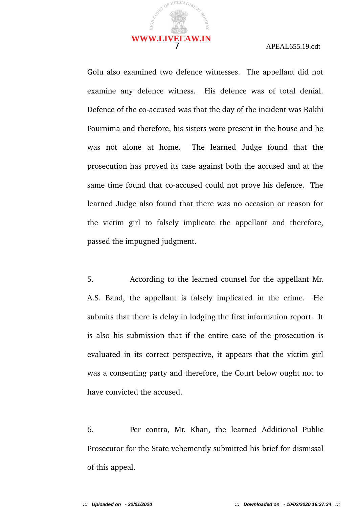

Golu also examined two defence witnesses. The appellant did not examine any defence witness. His defence was of total denial. Defence of the co-accused was that the day of the incident was Rakhi Pournima and therefore, his sisters were present in the house and he was not alone at home. The learned Judge found that the prosecution has proved its case against both the accused and at the same time found that co-accused could not prove his defence. The learned Judge also found that there was no occasion or reason for the victim girl to falsely implicate the appellant and therefore, passed the impugned judgment.

5. According to the learned counsel for the appellant Mr. A.S. Band, the appellant is falsely implicated in the crime. He submits that there is delay in lodging the first information report. It is also his submission that if the entire case of the prosecution is evaluated in its correct perspective, it appears that the victim girl was a consenting party and therefore, the Court below ought not to have convicted the accused.

6. Per contra, Mr. Khan, the learned Additional Public Prosecutor for the State vehemently submitted his brief for dismissal of this appeal.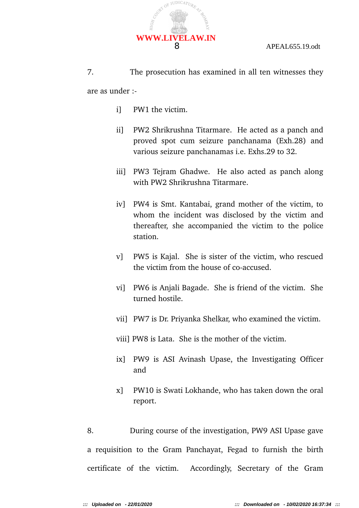

7. The prosecution has examined in all ten witnesses they are as under :-

- i] PW1 the victim.
- ii] PW2 Shrikrushna Titarmare. He acted as a panch and proved spot cum seizure panchanama (Exh.28) and various seizure panchanamas i.e. Exhs.29 to 32.
- iii] PW3 Tejram Ghadwe. He also acted as panch along with PW2 Shrikrushna Titarmare.
- iv] PW4 is Smt. Kantabai, grand mother of the victim, to whom the incident was disclosed by the victim and thereafter, she accompanied the victim to the police station.
- v] PW5 is Kajal. She is sister of the victim, who rescued the victim from the house of co-accused.
- vi] PW6 is Anjali Bagade. She is friend of the victim. She turned hostile.
- vii] PW7 is Dr. Priyanka Shelkar, who examined the victim.
- viii] PW8 is Lata. She is the mother of the victim.
- ix] PW9 is ASI Avinash Upase, the Investigating Officer and
- x] PW10 is Swati Lokhande, who has taken down the oral report.

8. During course of the investigation, PW9 ASI Upase gave a requisition to the Gram Panchayat, Fegad to furnish the birth certificate of the victim. Accordingly, Secretary of the Gram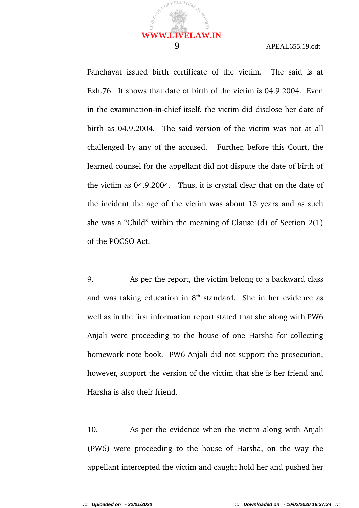Panchayat issued birth certificate of the victim. The said is at Exh.76. It shows that date of birth of the victim is 04.9.2004. Even in the examination-in-chief itself, the victim did disclose her date of birth as 04.9.2004. The said version of the victim was not at all challenged by any of the accused. Further, before this Court, the learned counsel for the appellant did not dispute the date of birth of the victim as 04.9.2004. Thus, it is crystal clear that on the date of the incident the age of the victim was about 13 years and as such she was a "Child" within the meaning of Clause (d) of Section 2(1) of the POCSO Act.

9. As per the report, the victim belong to a backward class and was taking education in  $8<sup>th</sup>$  standard. She in her evidence as well as in the first information report stated that she along with PW6 Anjali were proceeding to the house of one Harsha for collecting homework note book. PW6 Anjali did not support the prosecution, however, support the version of the victim that she is her friend and Harsha is also their friend.

10. As per the evidence when the victim along with Anjali (PW6) were proceeding to the house of Harsha, on the way the appellant intercepted the victim and caught hold her and pushed her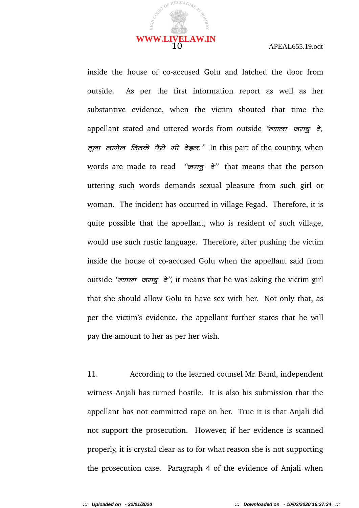

inside the house of co-accused Golu and latched the door from outside. As per the first information report as well as her substantive evidence, when the victim shouted that time the appellant stated and uttered words from outside "<del>cener or alged</del>", तूला लागेल तितके पैसे मी देइल." In this part of the country, when words are made to read " $\pi q$  and  $\pi$ " that means that the person uttering such words demands sexual pleasure from such girl or woman. The incident has occurred in village Fegad. Therefore, it is quite possible that the appellant, who is resident of such village, would use such rustic language. Therefore, after pushing the victim inside the house of co-accused Golu when the appellant said from outside " $\epsilon$  and  $\epsilon$  or  $\epsilon$ ", it means that he was asking the victim girl that she should allow Golu to have sex with her. Not only that, as per the victim's evidence, the appellant further states that he will pay the amount to her as per her wish.

11. According to the learned counsel Mr. Band, independent witness Anjali has turned hostile. It is also his submission that the appellant has not committed rape on her. True it is that Anjali did not support the prosecution. However, if her evidence is scanned properly, it is crystal clear as to for what reason she is not supporting the prosecution case. Paragraph 4 of the evidence of Anjali when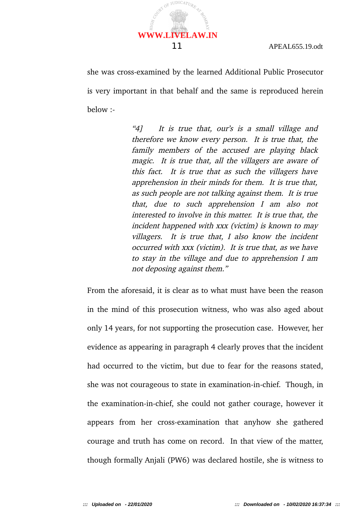she was cross-examined by the learned Additional Public Prosecutor is very important in that behalf and the same is reproduced herein below :-

> "4] It is true that, our's is a small village and therefore we know every person. It is true that, the family members of the accused are playing black magic. It is true that, all the villagers are aware of this fact. It is true that as such the villagers have apprehension in their minds for them. It is true that, as such people are not talking against them. It is true that, due to such apprehension <sup>I</sup> am also not interested to involve in this matter. It is true that, the incident happened with xxx (victim) is known to may villagers. It is true that, I also know the incident occurred with xxx (victim). It is true that, as we have to stay in the village and due to apprehension I am not deposing against them."

From the aforesaid, it is clear as to what must have been the reason in the mind of this prosecution witness, who was also aged about only 14 years, for not supporting the prosecution case. However, her evidence as appearing in paragraph 4 clearly proves that the incident had occurred to the victim, but due to fear for the reasons stated, she was not courageous to state in examination-in-chief. Though, in the examination-in-chief, she could not gather courage, however it appears from her cross-examination that anyhow she gathered courage and truth has come on record. In that view of the matter, though formally Anjali (PW6) was declared hostile, she is witness to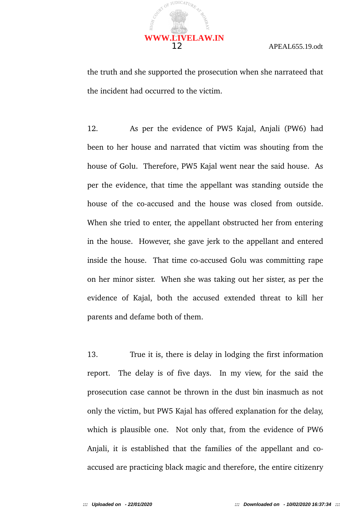

the truth and she supported the prosecution when she narrateed that the incident had occurred to the victim.

12. As per the evidence of PW5 Kajal, Anjali (PW6) had been to her house and narrated that victim was shouting from the house of Golu. Therefore, PW5 Kajal went near the said house. As per the evidence, that time the appellant was standing outside the house of the co-accused and the house was closed from outside. When she tried to enter, the appellant obstructed her from entering in the house. However, she gave jerk to the appellant and entered inside the house. That time co-accused Golu was committing rape on her minor sister. When she was taking out her sister, as per the evidence of Kajal, both the accused extended threat to kill her parents and defame both of them.

13. True it is, there is delay in lodging the first information report. The delay is of five days. In my view, for the said the prosecution case cannot be thrown in the dust bin inasmuch as not only the victim, but PW5 Kajal has offered explanation for the delay, which is plausible one. Not only that, from the evidence of PW6 Anjali, it is established that the families of the appellant and coaccused are practicing black magic and therefore, the entire citizenry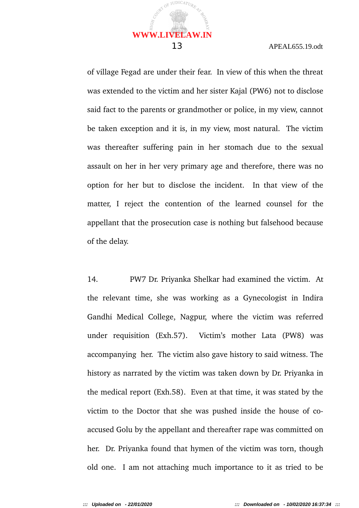of village Fegad are under their fear. In view of this when the threat was extended to the victim and her sister Kajal (PW6) not to disclose said fact to the parents or grandmother or police, in my view, cannot be taken exception and it is, in my view, most natural. The victim was thereafter suffering pain in her stomach due to the sexual assault on her in her very primary age and therefore, there was no option for her but to disclose the incident. In that view of the matter, I reject the contention of the learned counsel for the appellant that the prosecution case is nothing but falsehood because of the delay.

14. PW7 Dr. Priyanka Shelkar had examined the victim. At the relevant time, she was working as a Gynecologist in Indira Gandhi Medical College, Nagpur, where the victim was referred under requisition (Exh.57). Victim's mother Lata (PW8) was accompanying her. The victim also gave history to said witness. The history as narrated by the victim was taken down by Dr. Priyanka in the medical report (Exh.58). Even at that time, it was stated by the victim to the Doctor that she was pushed inside the house of coaccused Golu by the appellant and thereafter rape was committed on her. Dr. Priyanka found that hymen of the victim was torn, though old one. I am not attaching much importance to it as tried to be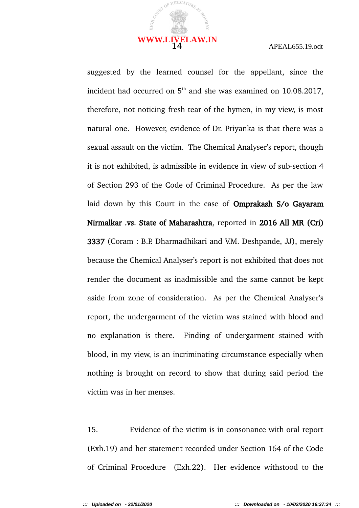

suggested by the learned counsel for the appellant, since the incident had occurred on  $5<sup>th</sup>$  and she was examined on 10.08.2017, therefore, not noticing fresh tear of the hymen, in my view, is most natural one. However, evidence of Dr. Priyanka is that there was a sexual assault on the victim. The Chemical Analyser's report, though it is not exhibited, is admissible in evidence in view of sub-section 4 of Section 293 of the Code of Criminal Procedure. As per the law laid down by this Court in the case of Omprakash S/o Gayaram Nirmalkar .vs. State of Maharashtra, reported in 2016 All MR (Cri) 3337 (Coram : B.P. Dharmadhikari and V.M. Deshpande, JJ), merely because the Chemical Analyser's report is not exhibited that does not render the document as inadmissible and the same cannot be kept aside from zone of consideration. As per the Chemical Analyser's report, the undergarment of the victim was stained with blood and no explanation is there. Finding of undergarment stained with blood, in my view, is an incriminating circumstance especially when nothing is brought on record to show that during said period the victim was in her menses.

15. Evidence of the victim is in consonance with oral report (Exh.19) and her statement recorded under Section 164 of the Code of Criminal Procedure (Exh.22). Her evidence withstood to the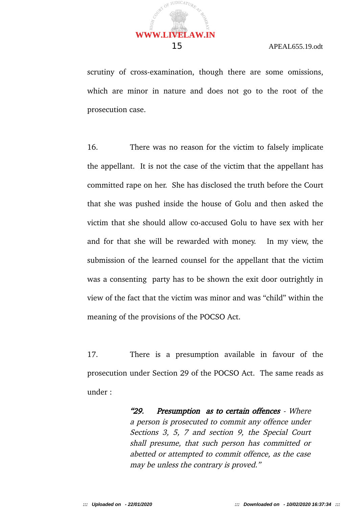scrutiny of cross-examination, though there are some omissions, which are minor in nature and does not go to the root of the prosecution case.

16. There was no reason for the victim to falsely implicate the appellant. It is not the case of the victim that the appellant has committed rape on her. She has disclosed the truth before the Court that she was pushed inside the house of Golu and then asked the victim that she should allow co-accused Golu to have sex with her and for that she will be rewarded with money. In my view, the submission of the learned counsel for the appellant that the victim was a consenting party has to be shown the exit door outrightly in view of the fact that the victim was minor and was "child" within the meaning of the provisions of the POCSO Act.

17. There is a presumption available in favour of the prosecution under Section 29 of the POCSO Act. The same reads as under :

> "29. Presumption as to certain offences - Where a person is prosecuted to commit any offence under Sections 3, 5, 7 and section 9, the Special Court shall presume, that such person has committed or abetted or attempted to commit offence, as the case may be unless the contrary is proved."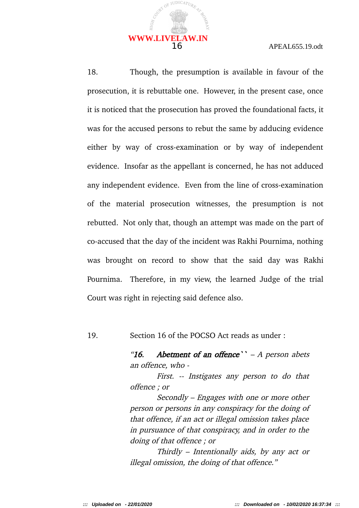

18. Though, the presumption is available in favour of the prosecution, it is rebuttable one. However, in the present case, once it is noticed that the prosecution has proved the foundational facts, it was for the accused persons to rebut the same by adducing evidence either by way of cross-examination or by way of independent evidence. Insofar as the appellant is concerned, he has not adduced any independent evidence. Even from the line of cross-examination of the material prosecution witnesses, the presumption is not rebutted. Not only that, though an attempt was made on the part of co-accused that the day of the incident was Rakhi Pournima, nothing was brought on record to show that the said day was Rakhi Pournima. Therefore, in my view, the learned Judge of the trial Court was right in rejecting said defence also.

19. Section 16 of the POCSO Act reads as under :

"16. Abetment of an offence"  $- A$  person abets an offence, who -

First. -- Instigates any person to do that offence ; or

Secondly – Engages with one or more other person or persons in any conspiracy for the doing of that offence, if an act or illegal omission takes place in pursuance of that conspiracy, and in order to the doing of that offence ; or

Thirdly – Intentionally aids, by any act or illegal omission, the doing of that offence."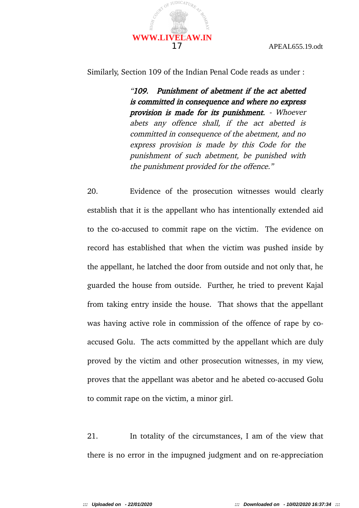

Similarly, Section 109 of the Indian Penal Code reads as under :

"109. Punishment of abetment if the act abetted is committed in consequence and where no express provision is made for its punishment. - Whoever abets any offence shall, if the act abetted is committed in consequence of the abetment, and no express provision is made by this Code for the punishment of such abetment, be punished with the punishment provided for the offence."

20. Evidence of the prosecution witnesses would clearly establish that it is the appellant who has intentionally extended aid to the co-accused to commit rape on the victim. The evidence on record has established that when the victim was pushed inside by the appellant, he latched the door from outside and not only that, he guarded the house from outside. Further, he tried to prevent Kajal from taking entry inside the house. That shows that the appellant was having active role in commission of the offence of rape by coaccused Golu. The acts committed by the appellant which are duly proved by the victim and other prosecution witnesses, in my view, proves that the appellant was abetor and he abeted co-accused Golu to commit rape on the victim, a minor girl.

21. In totality of the circumstances, I am of the view that there is no error in the impugned judgment and on re-appreciation